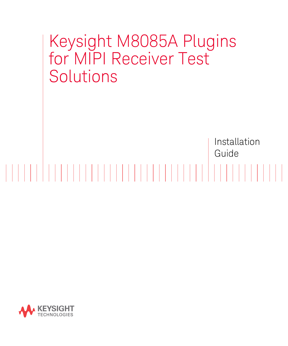## Keysight M8085A Plugins for MIPI Receiver Test Solutions

## Installation Guide

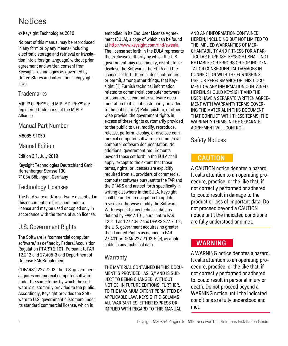## **Notices**

© Keysight Technologies 2019

No part of this manual may be reproduced in any form or by any means (including electronic storage and retrieval or translation into a foreign language) without prior agreement and written consent from Keysight Technologies as governed by United States and international copyright laws.

### **Trademarks**

MIPI™ C-PHY™ and MIPI™ D-PHY™ are registered trademarks of the MIPI™ Alliance.

Manual Part Number

M8085-91050

#### Manual Edition

Edition 3.1, July 2019

Keysight Technologies Deutschland GmbH Herrenberger Strasse 130, 71034 Böblingen, Germany

### Technology Licenses

The hard ware and/or software described in this document are furnished under a license and may be used or copied only in accordance with the terms of such license.

### U.S. Government Rights

The Software is "commercial computer software," as defined by Federal Acquisition Regulation ("FAR") 2.101. Pursuant toFAR 12.212 and 27.405-3 and Department of Defense FAR Supplement

("DFARS") 227.7202, the U.S. government acquires commercial computer software under the same terms by which the software is customarily provided to the public. Accordingly, Keysight provides the Software to U.S. government customers under its standard commercial license, which is

embodied in its End User License Agreement (EULA), a copy of which can be found at [http://www.keysight.com/find/sweula.](http://www.keysight.com/find/sweula) The license set forth in the EULA represents the exclusive authority by which the U.S. government may use, modify, distribute, or disclose the Software. The EULA and the license set forth therein, does not require or permit, among other things, that Keysight: (1) Furnish technical information related to commercial computer software or commercial computer software documentation that is not customarily provided to the public; or (2) Relinquish to, or otherwise provide, the government rights in excess of these rights customarily provided to the public to use, modify, reproduce, release, perform, display, or disclose commercial computer software or commercial computer software documentation. No additional government requirements beyond those set forth in the EULA shall apply, except to the extent that those terms, rights, or licenses are explicitly required from all providers of commercial computer software pursuant to the FAR and the DFARS and are set forth specifically in writing elsewhere in the EULA. Keysight shall be under no obligation to update, revise or otherwise modify the Software. With respect to any technical data as defined by FAR 2.101, pursuant to FAR 12.211 and 27.404.2 and DFARS 227.7102. the U.S. government acquires no greater than Limited Rights as defined in FAR 27.401 or DFAR 227.7103-5 (c), as applicable in any technical data.

### Warranty

THE MATERIAL CONTAINED IN THIS DOCU-MENT IS PROVIDED "AS IS," AND IS SUB-JECT TO BEING CHANGED, WITHOUT NOTICE, IN FUTURE EDITIONS. FURTHER, TO THE MAXIMUM EXTENT PERMITTED BY APPLICABLE LAW, KEYSIGHT DISCLAIMS ALL WARRANTIES, EITHER EXPRESS OR IMPLIED WITH REGARD TO THIS MANUAL

AND ANY INFORMATION CONTAINED HEREIN, INCLUDING BUT NOT LIMITED TO THE IMPLIED WARRANTIES OF MER-CHANTABILITY AND FITNESS FOR A PAR-TICULAR PURPOSE. KEYSIGHT SHALL NOT BE LIABLE FOR ERRORS OR FOR INCIDEN-TAL OR CONSEQUENTIAL DAMAGES IN CONNECTION WITH THE FURNISHING, USE, OR PERFORMANCE OF THIS DOCU-MENT OR ANY INFORMATION CONTAINED HEREIN. SHOULD KEYSIGHT AND THE USER HAVE A SEPARATE WRITTEN AGREE-MENT WITH WARRANTY TERMS COVER-ING THE MATERIAL IN THIS DOCUMENT THAT CONFLICT WITH THESE TERMS, THE WARRANTY TERMS IN THE SEPARATE AGREEMENT WILL CONTROL.

Safety Notices

### **CAUTION**

A CAUTION notice denotes a hazard. It calls attention to an operating procedure, practice, or the like that, if not correctly performed or adhered to, could result in damage to the product or loss of important data. Do not proceed beyond a CAUTION notice until the indicated conditions are fully understood and met.

## **WARNING**

A WARNING notice denotes a hazard. It calls attention to an operating procedure, practice, or the like that, if not correctly performed or adhered to, could result in personal injury or death. Do not proceed beyond a WARNING notice until the indicated conditions are fully understood and met.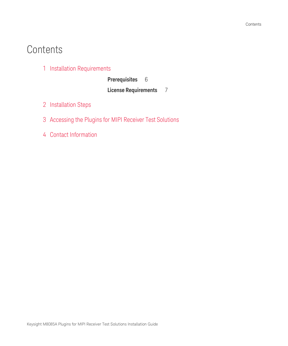## **Contents**

1 Installation [Requirements](#page-4-0)

**[Prerequisites](#page-5-0)** 6

## **License [Requirements](#page-6-0)** 7

- 2 [Installation](#page-8-0) Steps
- 3 [Accessing the Plugins for MIPI Receiver Test](#page-12-0) Solutions
- 4 Contact [Information](#page-18-0)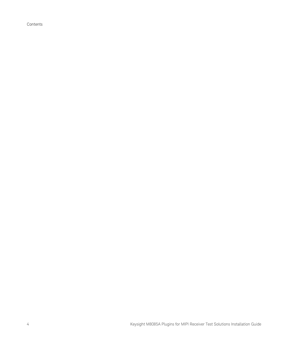Contents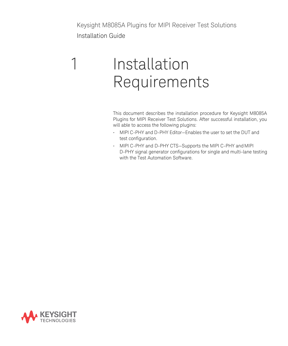# <span id="page-4-0"></span>**Installation** Requirements

This document describes the installation procedure for Keysight M8085A Plugins for MIPI Receiver Test Solutions. After successful installation, you will able to access the following plugins:

- MIPI C-PHY and D-PHY Editor—Enables the user to set the DUT and test configuration.
- MIPI C-PHY and D-PHY CTS—Supports the MIPI C-PHY and MIPI D-PHY signal generator configurations for single and multi-lane testing with the Test Automation Software.

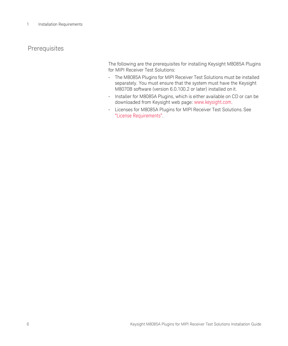### <span id="page-5-0"></span>Prerequisites

The following are the prerequisites for installing Keysight M8085A Plugins for MIPI Receiver Test Solutions:

- The M8085A Plugins for MIPI Receiver Test Solutions must be installed separately. You must ensure that the system must have the Keysight M8070B software (version 6.0.100.2 or later) installed on it.
- Installer for M8085A Plugins, which is either available on CD or can be downloaded from Keysight web page: [www.keysight.com](http://www.keysight.com/).
- Licenses for M8085A Plugins for MIPI Receiver Test Solutions. See ["License Requirements"](#page-6-0).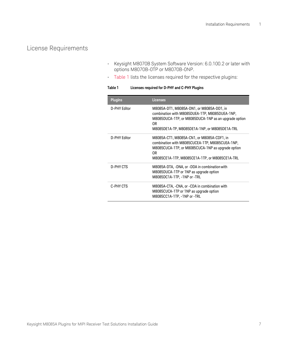#### <span id="page-6-1"></span><span id="page-6-0"></span>License Requirements

- Keysight M8070B System Software Version: 6.0.100.2 or later with options M8070B-0TP or M8070B-0NP.
- [Table 1 l](#page-6-1)ists the licenses required for the respective plugins:

| <b>Plugins</b> | <b>Licenses</b>                                                                                                                                                                                             |
|----------------|-------------------------------------------------------------------------------------------------------------------------------------------------------------------------------------------------------------|
| D-PHY Editor   | M8085A-DT1, M8085A-DN1, or M8085A-DD1, in<br>combination with M8085DUEA-1TP, M8085DUEA-1NP,<br>M8085DUCA-1TP, or M8085DUCA-1NP as an upgrade option<br>0R.<br>M8085DE1A-TP, M8085DE1A-1NP, or M8085DE1A-TRL |
| D-PHY Editor   | M8085A-CT1, M8085A-CN1, or M8085A-CDF1, in<br>combination with M8085CUCEA-1TP, M8085CUEA-1NP,<br>M8085CUCA-1TP, or M8085CUCA-1NP as upgrade option<br>0R<br>M8085CE1A-1TP, M8085CE1A-1TP, or M8085CE1A-TRL  |
| D-PHY CTS      | M8085A-DTA, -DNA, or -DDA in combination with<br>M8085DUCA-1TP or 1NP as upgrade option<br>M8085DC1A-1TP. -1NP or -TRL                                                                                      |
| C-PHY CTS      | M8085A-CTA, -CNA, or -CDA in combination with<br>M8085CUCA-1TP or 1NP as upgrade option<br>M8085CC1A-1TP, -1NP or -TRL                                                                                      |

#### **Table 1 Licenses required for D-PHY and C-PHY Plugins**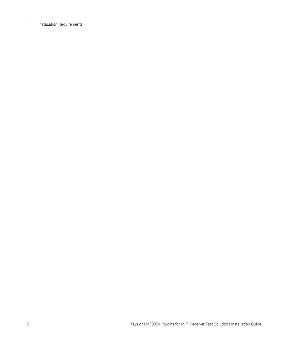#### 1 Installation Requirements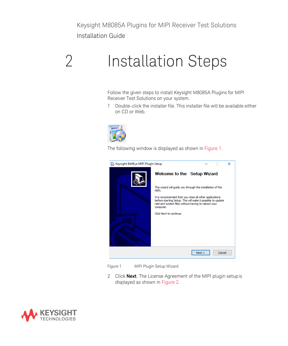# 2 Installation Steps

<span id="page-8-0"></span>Follow the given steps to install Keysight M8085A Plugins for MIPI Receiver Test Solutions on your system.

1 Double-click the installer file. This installer file will be available either on CD or Web.



The following window is displayed as shown i[n Figure 1.](#page-8-1)



Figure 1 MIPI Plugin Setup Wizard

2 Click **Next**. The License Agreement of the MIPI plugin setupis displayed as shown in [Figure](#page-9-0) 2.

<span id="page-8-1"></span>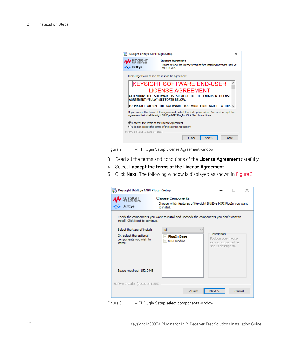

Figure 2 MIPI Plugin Setup License Agreement window

- <span id="page-9-0"></span>Read all the terms and conditions of the **License Agreement** carefully.
- Select **I accept the terms of the License Agreement**.
- Click **Next**. The following window is displayed as shown i[n Figure](#page-9-1) 3.

| Keysight BitifEye MIPI PlugIn Setup<br>×                                                                                  |                                                                                                            |                                                                                   |  |  |  |  |
|---------------------------------------------------------------------------------------------------------------------------|------------------------------------------------------------------------------------------------------------|-----------------------------------------------------------------------------------|--|--|--|--|
| <b>KEYSIGHT</b><br><b>BitifEye</b>                                                                                        | <b>Choose Components</b><br>Choose which features of Keysight BitifEye MIPI PlugIn you want<br>to install. |                                                                                   |  |  |  |  |
| Check the components you want to install and uncheck the components you don't want to<br>install. Click Next to continue. |                                                                                                            |                                                                                   |  |  |  |  |
| Select the type of install:                                                                                               | Full                                                                                                       |                                                                                   |  |  |  |  |
| Or, select the optional<br>components you wish to<br>install:                                                             | <b>PlugIn Base</b><br>MTPT Module                                                                          | Description<br>Position your mouse<br>over a component to<br>see its description. |  |  |  |  |
| Space required: 152.0 MB                                                                                                  |                                                                                                            |                                                                                   |  |  |  |  |
| BitifEye Installer (based on NSIS)                                                                                        | $<$ Back                                                                                                   | Next ><br>Cancel                                                                  |  |  |  |  |

<span id="page-9-1"></span>Figure 3 MIPI Plugin Setup select components window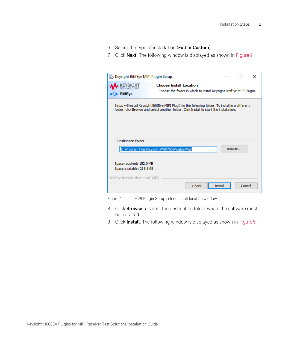- 6 Select the type of installation (**Full** or **Custom**).
- 7 Click **Next**. The following window is displayed as shown i[n Figure](#page-10-0) 4.

|                                    | Keysight BitifEye MIPI PlugIn Setup                                                                                                                                                             |        |         |        | × |
|------------------------------------|-------------------------------------------------------------------------------------------------------------------------------------------------------------------------------------------------|--------|---------|--------|---|
| <b>KEYSIGHT</b>                    | <b>Choose Install Location</b>                                                                                                                                                                  |        |         |        |   |
| <b>BitifEye</b>                    | Choose the folder in which to install Keysight BitifEye MIPI PlugIn.                                                                                                                            |        |         |        |   |
|                                    | Setup will install Keysight BitifEye MIPI PlugIn in the following folder. To install in a different<br>folder, click Browse and select another folder. Click Install to start the installation. |        |         |        |   |
|                                    |                                                                                                                                                                                                 |        |         |        |   |
|                                    |                                                                                                                                                                                                 |        |         |        |   |
| <b>Destination Folder</b>          |                                                                                                                                                                                                 |        |         |        |   |
|                                    | C: \Program Files\Keysight\M8070B\PlugIns\Mipi                                                                                                                                                  |        |         | Browse |   |
| Space required: 152.0 MB           |                                                                                                                                                                                                 |        |         |        |   |
| Space available: 285.6 GB          |                                                                                                                                                                                                 |        |         |        |   |
|                                    |                                                                                                                                                                                                 |        |         |        |   |
| BitifEye Installer (based on NSIS) |                                                                                                                                                                                                 | $Back$ | Install | Cancel |   |

<span id="page-10-0"></span>Figure 4 MIPI Plugin Setup select install location window

- 8 Click **Browse** to select the destination folder where the software must be installed.
- 9 Click **Install**. The following window is displayed as shown i[n Figure5.](#page-11-0)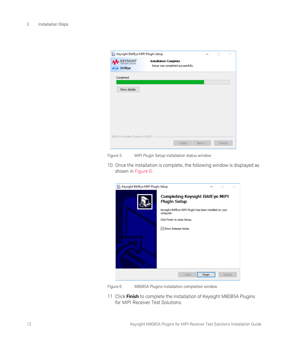| Keysight BitifEye MIPI PlugIn Setup            |                                                                   |      |        |  |
|------------------------------------------------|-------------------------------------------------------------------|------|--------|--|
| <b>KEYSIGHT</b><br><b>BitifEye</b><br>$\cdots$ | <b>Installation Complete</b><br>Setup was completed successfully. |      |        |  |
| Completed                                      |                                                                   |      |        |  |
| Show details                                   |                                                                   |      |        |  |
|                                                |                                                                   |      |        |  |
|                                                |                                                                   |      |        |  |
|                                                |                                                                   |      |        |  |
|                                                |                                                                   |      |        |  |
| BitifEye Installer (based on NSIS)             |                                                                   |      |        |  |
|                                                | $<$ Back                                                          | Next | Cancel |  |

<span id="page-11-0"></span>Figure 5 MIPI Plugin Setup installation status window

10 Once the installation is complete, the following window is displayed as shown in [Figure](#page-11-1) 6.

| Keysight BitifEye MIPI PlugIn Setup |                                                                                                                                                                                                |        |        |  |
|-------------------------------------|------------------------------------------------------------------------------------------------------------------------------------------------------------------------------------------------|--------|--------|--|
|                                     | <b>Completing Keysight BitifEye MIPI</b><br><b>PlugIn Setup</b><br>Keysight BitifEye MIPI PlugIn has been installed on your<br>computer.<br>Click Finish to close Setup.<br>Show Release Notes |        |        |  |
|                                     | $<$ Back                                                                                                                                                                                       | Finish | Cancel |  |

<span id="page-11-1"></span>

Figure 6 M8085A Plugins installation completion window

11 Click **Finish** to complete the installation of Keysight M8085A Plugins for MIPI Receiver Test Solutions.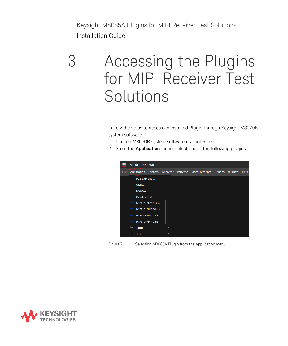## <span id="page-12-0"></span>3 Accessing the Plugins for MIPI Receiver Test Solutions

Follow the steps to access an installed Plugin through Keysight M8070B system software:

- 1 Launch M8070B system software user interface.
- 2 From the **Application** menu, select one of the following plugins:



Figure 7 Selecting M8085A Plugin from the Application menu

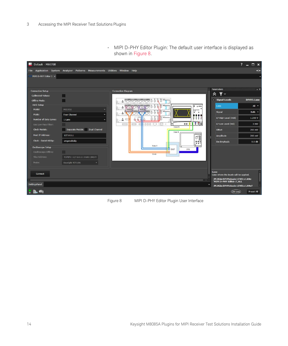

• MIPI D-PHY Editor Plugin: The default user interface is displayed as shown i[n Figure](#page-13-0) 8.

<span id="page-13-0"></span>Figure 8 MIPI D-PHY Editor Plugin User Interface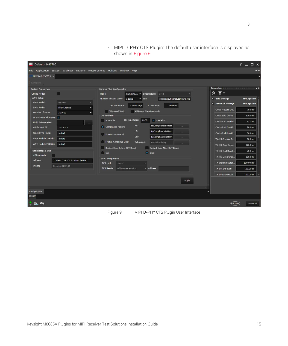• MIPI D-PHY CTS Plugin: The default user interface is displayed as shown i[n Figure](#page-14-0) 9.

| Default - M8070B                                                             |                                                                             | $\mathbf{?}$<br>$ \Box$ $\times$        |
|------------------------------------------------------------------------------|-----------------------------------------------------------------------------|-----------------------------------------|
| File Application System Analyzer Patterns Measurements Utilities Window Help |                                                                             | 채                                       |
| MIPI D-PHY CTS 1 X                                                           |                                                                             |                                         |
| Configure                                                                    |                                                                             |                                         |
| <b>System Connection</b>                                                     | <b>Receiver Test Configuration</b>                                          | Parameters<br>$-1$                      |
| <b>Offline Mode:</b>                                                         | Specification: 2.10<br>Mode:<br>Compliance v                                | $\mathbf{Y}$ $\checkmark$<br>"          |
| <b>AWG Setup</b>                                                             | Number of Data Lanes: 1 Lane<br>ISI:<br>ReferenceChannelStandard.s4p        | * Idle Voltage<br><b>TP1.System</b>     |
| <b>AWG Model:</b><br>M8195A                                                  | <b>HS Data Rate:</b><br>2.5000 Gb/s<br>LP Data Rate:<br>$10$ Mb/s           | - Protocol Timings<br><b>TP1.System</b> |
| <b>AWG Mode:</b><br><b>Four Channel</b>                                      | Triggered Start<br>All Lanes Simultaneously                                 | Clock-Prepare Du<br>70.0 ns             |
| Number of AWGs:<br>2 AWGs<br>In-System Calibration: v                        | Data Pattern                                                                | Clock-Zero Durati<br>300.0 ns           |
| Multi S-Parameter:<br>$\cdots$                                               | <b>HS Sync Word:</b><br>0xB8<br>Preamble<br>$\sqrt{}$ LSB First             | <b>Clock-Pre Duration</b><br>$12.5$ ns  |
| <b>AWGs Host IP:</b><br>127.0.0.1                                            | HS:<br><b>HsCompliancePattern</b><br>• Compliance Pattern                   | Clock-Post Durati<br>70.0 ns            |
| <b>Clock Sync HiSlip:</b><br>hislip0                                         | LP:<br><b>LpCompliancePattern</b><br>Frame (Sequence)                       | Clock-Trail Durati<br>$80.0$ ns         |
| AWG Module 1 HiSlip:<br>hislip1                                              | ULP:<br><b>LpCompliancePattern</b>                                          | TX-HS-Prepare D<br>60.0 ns              |
| <b>AWG Module 2 HiSlip:</b><br>hislip <sub>2</sub>                           | Frame, Continous Clock<br><b>Behavioral:</b><br>Behavioral.seg              | TX-HS-Zero Dura.<br>120.0 ns            |
| <b>Oscilloscope Setup</b>                                                    | <b>Restart Seq. Before DUT Reset</b><br><b>Restart Seq. After DUT Reset</b> | <b>TX-HS-Trail Durat.</b><br>70.0 ns    |
| <b>Offline Mode:</b>                                                         | $\bullet$ DSI<br><b>CSI</b>                                                 | TX-HS-Exit Durati.<br>$100.0$ ns        |
| Address:<br>TCPIP0::121.0.0.1::inst0::INSTR                                  | <b>BER Configuration</b><br><b>BER Limit:</b><br>$10e-6$                    | TX-Wakeup Durat<br>100.00 ms            |
| Keysight N7010A<br>Probe:                                                    | - Address:<br><b>BER Reader:</b> Offline BER Reader                         | <b>TX-Init Duration</b><br>100.00 us    |
|                                                                              |                                                                             | <b>TX-InitialSkewCal</b><br>100.00 us   |
|                                                                              | Apply                                                                       |                                         |
|                                                                              |                                                                             |                                         |
| <b>Configuration</b>                                                         |                                                                             |                                         |
| Logger                                                                       |                                                                             |                                         |
|                                                                              |                                                                             | <b>CIK Loss</b><br><b>Preset All</b>    |

<span id="page-14-0"></span>Figure 9 MIPI D-PHY CTS Plugin User Interface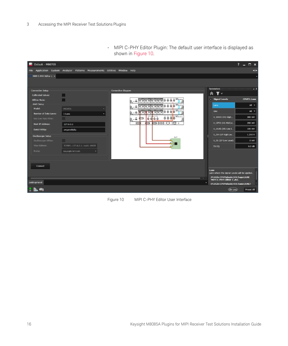| Default - M8070B             |                                                                              |                           |                                                             |                                                                                            | $\overline{?}$<br>$  \times$ |
|------------------------------|------------------------------------------------------------------------------|---------------------------|-------------------------------------------------------------|--------------------------------------------------------------------------------------------|------------------------------|
|                              | File Application System Analyzer Patterns Measurements Utilities Window Help |                           |                                                             |                                                                                            | +                            |
| MIPI C-PHY Editor 1 X        |                                                                              |                           |                                                             |                                                                                            |                              |
|                              |                                                                              |                           |                                                             |                                                                                            |                              |
| <b>Connection Setup</b>      |                                                                              | <b>Connection Diagram</b> |                                                             | ,,,,,,,,,,,,,,,,,,,,,,,,,,,,,,,,,,,,<br><b>Parameters</b><br>$\hat{X}$ $\hat{Y}$ $\hat{Y}$ | $-1$                         |
| <b>Calibrated Values:</b>    |                                                                              |                           |                                                             |                                                                                            |                              |
| <b>Offline Mode:</b>         |                                                                              |                           | <u>0.00.00.00.000.000</u>                                   | - Signal Levels                                                                            | CPHY1.Lane                   |
| <b>AWG Setup</b><br>Model:   | M8195A                                                                       |                           | 0000000000                                                  | Lane                                                                                       | $All -$                      |
| <b>Number of Data Lanes:</b> | 1 Lane<br>۰                                                                  |                           | 000000000000                                                | Line                                                                                       | $All -$                      |
| Use Low Pass Filter:         |                                                                              |                           | 0000<br>00<br>٥<br>0.4                                      | V_OHHS (HS High                                                                            | 300 mV                       |
| <b>Host IP Address:</b>      | 127.0.0.1                                                                    |                           | $\Box$ $\Omega$ $\Omega$ $\Omega$ $\Omega$<br>÷.<br>$\circ$ | V_CPTX (HS Mid Le.                                                                         | 200 mV                       |
| Data0 HiSlip:                | awgonehislip                                                                 |                           |                                                             | V_OLHS (HS Low L                                                                           | $100$ mV                     |
| <b>Oscilloscope Setup</b>    |                                                                              |                           |                                                             | V_OH (LP High Lev.                                                                         | 1.200V                       |
| Oscilloscope Offline:        |                                                                              |                           | DUT                                                         | V_OL (LP Low Level)                                                                        | 0 <sub>m</sub>               |
| Visa Address:                | TCPIP0::127.0.0.1::inst0::INSTF                                              |                           |                                                             | TX EQ                                                                                      | $0.0$ dB                     |
| Probe:                       | Keysight N7010A                                                              |                           |                                                             |                                                                                            |                              |
|                              |                                                                              |                           |                                                             |                                                                                            |                              |
|                              |                                                                              |                           |                                                             |                                                                                            |                              |
| Connect                      |                                                                              |                           |                                                             | Lane                                                                                       |                              |
|                              |                                                                              |                           |                                                             | Lane where the signal Levels will be applied.                                              |                              |
|                              |                                                                              |                           |                                                             | :PLUGin:CPHYplugin:VOLTage:LANE<br>'MIPI C-PHY Editor 1', ALL                              |                              |
| SettingsPanel                |                                                                              |                           |                                                             | :PLUGin:CPHYplugin:VOLTage:LANE?                                                           |                              |
| M                            |                                                                              |                           |                                                             | <b>CIK Loss</b>                                                                            | <b>Preset All</b>            |

• MIPI C-PHY Editor Plugin: The default user interface is displayed as shown i[n Figure](#page-15-0) 10.

<span id="page-15-0"></span>Figure 10 MIPI C-PHY Editor User Interface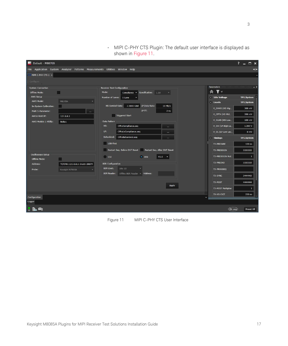• MIPI C-PHY CTS Plugin: The default user interface is displayed as shown i[n Figure](#page-16-0) 11.

| 59<br>Default - M8070B                                                       |                                                                 |                                                                                                                         | $?$ $ \Box$ $\times$ |
|------------------------------------------------------------------------------|-----------------------------------------------------------------|-------------------------------------------------------------------------------------------------------------------------|----------------------|
| File Application System Analyzer Patterns Measurements Utilities Window Help |                                                                 |                                                                                                                         | +                    |
| MIPI C-PHY CTS 1 X                                                           |                                                                 |                                                                                                                         |                      |
| Configure                                                                    |                                                                 |                                                                                                                         |                      |
| <b>System Connection</b>                                                     | <b>Receiver Test Configuration</b>                              | Parameters <b>and a parameters</b> and a parameters and a parameters and a parameters and a parameters are a parameters |                      |
| <b>Offline Mode:</b>                                                         | Mode:<br>Specification: 1.10<br>Compliance -                    | $\hat{X}$ $\hat{Y}$ $\hat{Y}$                                                                                           |                      |
| <b>AWG Setup</b>                                                             | Number of Lanes: 1 Lane                                         | * Idle Voltage                                                                                                          | <b>TP1.System</b>    |
| <b>AWG Model:</b><br>M8195A                                                  | 2.5000 GBd LP Data Rate:<br><b>HS Symbol Rate:</b><br>$10$ Mb/s | - Levels                                                                                                                | <b>TP1.System</b>    |
| <b>In-System Calibration:</b>                                                | LP TT:<br>2 <sub>ns</sub>                                       | V_OHHS (HS Hig                                                                                                          | 300 mV               |
| Multi S-Parameter:<br><br><b>AWGs Host IP:</b><br>127.0.0.1                  | <b>Triggered Start</b>                                          | V_CPTX (HS Mid                                                                                                          | 200 mV               |
| <b>AWG Module 1 HiSlip:</b><br>hislip1                                       | Data Pattern                                                    | V_OLHS (HS Low                                                                                                          | 100 mV               |
|                                                                              | HS:<br>CPhyCompliance.seq<br>                                   | V_OH (LP High Le                                                                                                        | 1.200 V              |
|                                                                              | LP:<br>CPhyLsCompliance.seq<br>$\cdots$                         | V OL (LP Low Lev                                                                                                        | 0 <sub>mV</sub>      |
|                                                                              | <b>Behavioral:</b><br>CPhyBehavioral.seq<br>                    | $\sim$ Timings                                                                                                          | <b>TP1.System</b>    |
|                                                                              | LSB First                                                       | <b>T3-PREPARE</b>                                                                                                       | $100$ ns             |
|                                                                              | Restart Seq. Before DUT Reset Restart Seq. After DUT Reset      | <b>T3-PREBEGIN</b>                                                                                                      | 3333333              |
| <b>Oscilloscope Setup</b>                                                    | $V1.0$ $\rightarrow$<br><b>CSI</b><br>$\bullet$ DSI             | T3-PREBEGIN Mul.                                                                                                        | $\mathbf{1}$         |
| <b>Offline Mode:</b>                                                         |                                                                 | <b>T3-PREEND</b>                                                                                                        | 3333333              |
| Address:<br>TCPIP0::121.0.0.1::inst0::INSTF                                  | <b>BER Configuration</b>                                        |                                                                                                                         |                      |
| Probe:<br>Keysight N7010A                                                    | <b>BER Limit:</b><br>10e-10                                     | T3-PROGSEQ                                                                                                              |                      |
|                                                                              | <b>BER Reader:</b><br>Offline BER Reader - Address:             | T3-SYNC                                                                                                                 | 3444443              |
|                                                                              |                                                                 | T3-POST                                                                                                                 | 4444444              |
|                                                                              | Apply                                                           | <b>T3-POST Multiplier</b>                                                                                               | $\mathbf{1}$         |
|                                                                              |                                                                 | TX-HS-EXTT                                                                                                              | $200$ ns             |
| Configuration<br>Logger                                                      |                                                                 |                                                                                                                         |                      |
|                                                                              |                                                                 |                                                                                                                         |                      |
| P. Y                                                                         |                                                                 | (Clk Loss)                                                                                                              | <b>Preset All</b>    |

<span id="page-16-0"></span>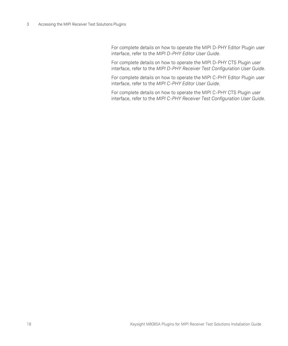For complete details on how to operate the MIPI D-PHY Editor Plugin user interface, refer to the *MIPI D-PHY Editor User Guide*.

For complete details on how to operate the MIPI D-PHY CTS Plugin user interface, refer to the *MIPI D-PHY Receiver Test Configuration User Guide*.

For complete details on how to operate the MIPI C-PHY Editor Plugin user interface, refer to the *MIPI C-PHY Editor User Guide*.

For complete details on how to operate the MIPI C-PHY CTS Plugin user interface, refer to the *MIPI C-PHY Receiver Test Configuration User Guide*.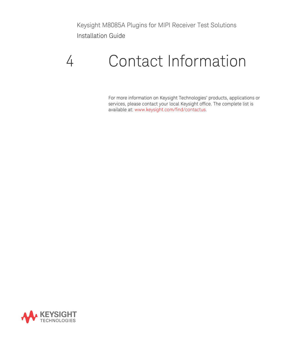## <span id="page-18-0"></span>4 Contact Information

For more information on Keysight Technologies' products, applications or services, please contact your local Keysight office. The complete list is available at[: www.keysight.com/find/contactus.](http://www.keysight.com/main/contactInformation.jspx?tmprop=TM&cc=US&lc=eng)

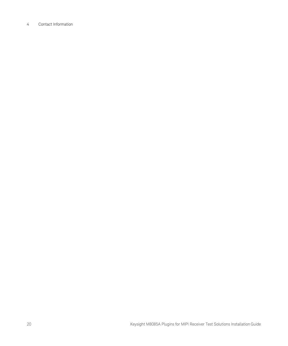#### Contact Information